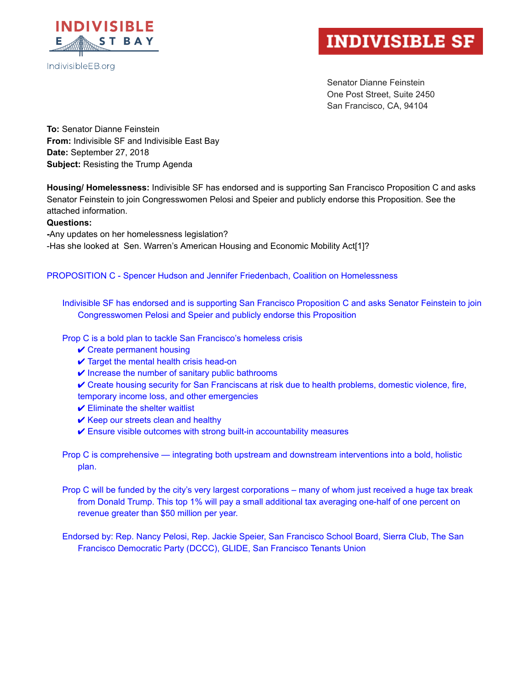

## IndivisibleEB.org

# **INDIVISIBLE SF**

Senator Dianne Feinstein One Post Street, Suite 2450 San Francisco, CA, 94104

**To:** Senator Dianne Feinstein **From:** Indivisible SF and Indivisible East Bay **Date:** September 27, 2018 **Subject:** Resisting the Trump Agenda

**Housing/ Homelessness:** Indivisible SF has endorsed and is supporting San Francisco Proposition C and asks Senator Feinstein to join Congresswomen Pelosi and Speier and publicly endorse this Proposition. See the attached information.

#### **Questions:**

Any updates on her homelessness legislation? Has she looked at Sen. Warren's American Housing and Economic Mobility Ac[t\[1\]?](https://paperpile.com/c/e8rr2c/HihS)

#### PROPOSITION C - Spencer Hudson and Jennifer Friedenbach, Coalition on Homelessness

Indivisible SF has endorsed and is supporting San Francisco Proposition C and asks Senator Feinstein to join Congresswomen Pelosi and Speier and publicly endorse this Proposition

Prop C is a bold plan to tackle San Francisco's homeless crisis

- $\checkmark$  Create permanent housing
- $\checkmark$  Target the mental health crisis head-on
- $\vee$  Increase the number of sanitary public bathrooms
- ✔ Create housing security for San Franciscans at risk due to health problems, domestic violence, fire,
- temporary income loss, and other emergencies
- $\checkmark$  Eliminate the shelter waitlist
- $\vee$  Keep our streets clean and healthy
- $\checkmark$  Ensure visible outcomes with strong built-in accountability measures

Prop C is comprehensive — integrating both upstream and downstream interventions into a bold, holistic plan.

Prop C will be funded by the city's very largest corporations – many of whom just received a huge tax break from Donald Trump. This top 1% will pay a small additional tax averaging one-half of one percent on revenue greater than \$50 million per year.

Endorsed by: Rep. Nancy Pelosi, Rep. Jackie Speier, San Francisco School Board, Sierra Club, The San Francisco Democratic Party (DCCC), GLIDE, San Francisco Tenants Union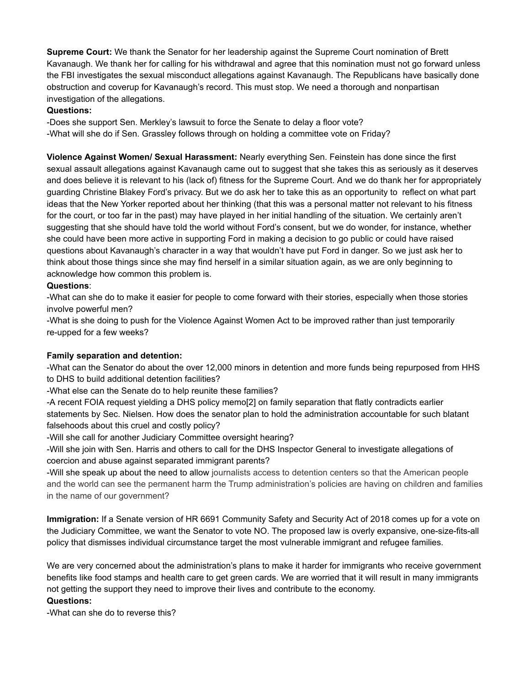**Supreme Court:** We thank the Senator for her leadership against the Supreme Court nomination of Brett Kavanaugh. We thank her for calling for his withdrawal and agree that this nomination must not go forward unless the FBI investigates the sexual misconduct allegations against Kavanaugh. The Republicans have basically done obstruction and coverup for Kavanaugh's record. This must stop. We need a thorough and nonpartisan investigation of the allegations.

### **Questions:**

Does she support Sen. Merkley's lawsuit to force the Senate to delay a floor vote? What will she do if Sen. Grassley follows through on holding a committee vote on Friday?

**Violence Against Women/ Sexual Harassment:** Nearly everything Sen. Feinstein has done since the first sexual assault allegations against Kavanaugh came out to suggest that she takes this as seriously as it deserves and does believe it is relevant to his (lack of) fitness for the Supreme Court. And we do thank her for appropriately guarding Christine Blakey Ford's privacy. But we do ask her to take this as an opportunity to reflect on what part ideas that the New Yorker reported about her thinking (that this was a personal matter not relevant to his fitness for the court, or too far in the past) may have played in her initial handling of the situation. We certainly aren't suggesting that she should have told the world without Ford's consent, but we do wonder, for instance, whether she could have been more active in supporting Ford in making a decision to go public or could have raised questions about Kavanaugh's character in a way that wouldn't have put Ford in danger. So we just ask her to think about those things since she may find herself in a similar situation again, as we are only beginning to acknowledge how common this problem is.

## **Questions**:

What can she do to make it easier for people to come forward with their stories, especially when those stories involve powerful men?

What is she doing to push for the Violence Against Women Act to be improved rather than just temporarily re-upped for a few weeks?

#### **Family separation and detention:**

What can the Senator do about the over 12,000 minors in detention and more funds being repurposed from HHS to DHS to build additional detention facilities?

What else can the Senate do to help reunite these families?

A recent FOIA request yielding a DHS policy mem[o\[2\]](https://paperpile.com/c/e8rr2c/Vw3x) on family separation that flatly contradicts earlier statements by Sec. Nielsen. How does the senator plan to hold the administration accountable for such blatant falsehoods about this cruel and costly policy?

Will she call for another Judiciary Committee oversight hearing?

Will she join with Sen. Harris and others to call for the DHS Inspector General to investigate allegations of coercion and abuse against separated immigrant parents?

Will she speak up about the need to allow journalists access to detention centers so that the American people and the world can see the permanent harm the Trump administration's policies are having on children and families in the name of our government?

**Immigration:** If a Senate version of HR 6691 Community Safety and Security Act of 2018 comes up for a vote on the Judiciary Committee, we want the Senator to vote NO. The proposed law is overly expansive, one-size-fits-all policy that dismisses individual circumstance target the most vulnerable immigrant and refugee families.

We are very concerned about the administration's plans to make it harder for immigrants who receive government benefits like food stamps and health care to get green cards. We are worried that it will result in many immigrants not getting the support they need to improve their lives and contribute to the economy.

#### **Questions:**

What can she do to reverse this?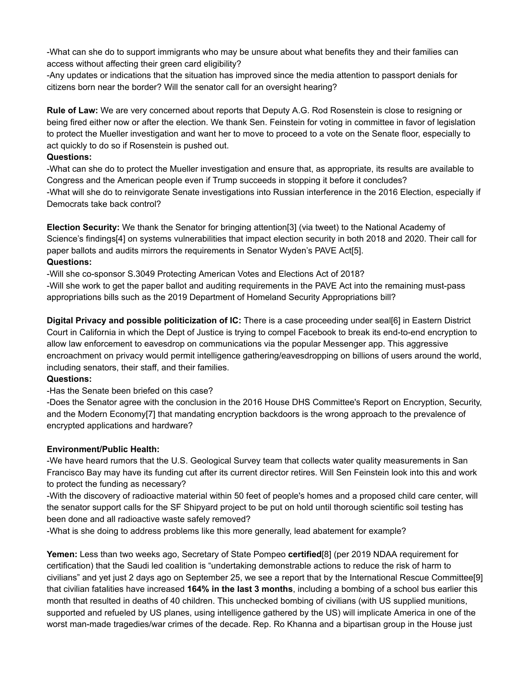What can she do to support immigrants who may be unsure about what benefits they and their families can access without affecting their green card eligibility?

Any updates or indications that the situation has improved since the media attention to passport denials for citizens born near the border? Will the senator call for an oversight hearing?

**Rule of Law:** We are very concerned about reports that Deputy A.G. Rod Rosenstein is close to resigning or being fired either now or after the election. We thank Sen. Feinstein for voting in committee in favor of legislation to protect the Mueller investigation and want her to move to proceed to a vote on the Senate floor, especially to act quickly to do so if Rosenstein is pushed out.

## **Questions:**

What can she do to protect the Mueller investigation and ensure that, as appropriate, its results are available to Congress and the American people even if Trump succeeds in stopping it before it concludes? What will she do to reinvigorate Senate investigations into Russian interference in the 2016 Election, especially if Democrats take back control?

**Election Security:** We thank the Senator for bringing attention[\[3\]](https://paperpile.com/c/e8rr2c/4foc) (via tweet) to the National Academy of Science's findings[\[4\]](https://paperpile.com/c/e8rr2c/QmTc) on systems vulnerabilities that impact election security in both 2018 and 2020. Their call for paper ballots and audits mirrors the requirements in Senator Wyden's PAVE Ac[t\[5\]](https://paperpile.com/c/e8rr2c/YZZq). **Questions:**

Will she cosponsor S.3049 Protecting American Votes and Elections Act of 2018?

-Will she work to get the paper ballot and auditing requirements in the PAVE Act into the remaining must-pass appropriations bills such as the 2019 Department of Homeland Security Appropriations bill?

**Digital Privacy and possible politicization of IC:** There is a case proceeding under seal[\[6\]](https://paperpile.com/c/e8rr2c/K5RV) in Eastern District Court in California in which the Dept of Justice is trying to compel Facebook to break its end-to-end encryption to allow law enforcement to eavesdrop on communications via the popular Messenger app. This aggressive encroachment on privacy would permit intelligence gathering/eavesdropping on billions of users around the world, including senators, their staff, and their families.

## **Questions:**

-Has the Senate been briefed on this case?

Does the Senator agree with the conclusion in the 2016 House DHS Committee's Report on Encryption, Security, and the Modern Economy[\[7\]](https://paperpile.com/c/e8rr2c/nPJ9) that mandating encryption backdoors is the wrong approach to the prevalence of encrypted applications and hardware?

#### **Environment/Public Health:**

We have heard rumors that the U.S. Geological Survey team that collects water quality measurements in San Francisco Bay may have its funding cut after its current director retires. Will Sen Feinstein look into this and work to protect the funding as necessary?

With the discovery of radioactive material within 50 feet of people's homes and a proposed child care center, will the senator support calls for the SF Shipyard project to be put on hold until thorough scientific soil testing has been done and all radioactive waste safely removed?

What is she doing to address problems like this more generally, lead abatement for example?

**Yemen:** Less than two weeks ago, Secretary of State Pompeo **certified**[\[8\]](https://paperpile.com/c/e8rr2c/kHf4) (per 2019 NDAA requirement for certification) that the Saudi led coalition is "undertaking demonstrable actions to reduce the risk of harm to civilians" and yet just 2 days ago on September 25, we see a report that by the International Rescue Committee[\[9\]](https://paperpile.com/c/e8rr2c/iktD) that civilian fatalities have increased **164% in the last 3 months**, including a bombing of a school bus earlier this month that resulted in deaths of 40 children. This unchecked bombing of civilians (with US supplied munitions, supported and refueled by US planes, using intelligence gathered by the US) will implicate America in one of the worst man-made tragedies/war crimes of the decade. Rep. Ro Khanna and a bipartisan group in the House just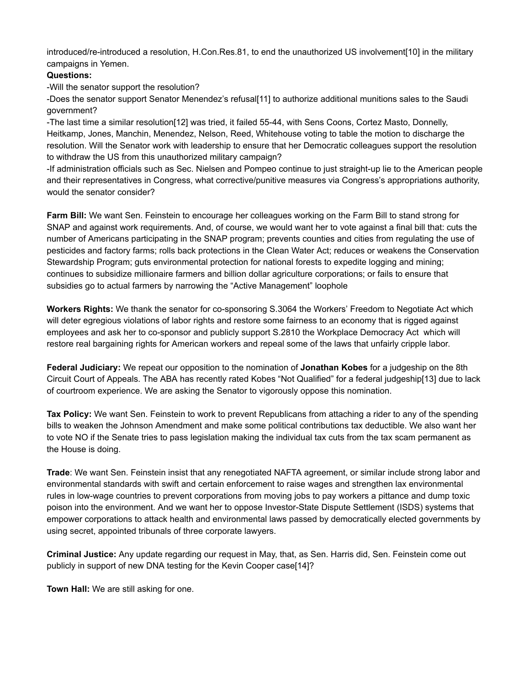introduced/reintroduced a resolution, H.Con.Res.81, to end the unauthorized US involvement[\[10\]](https://paperpile.com/c/e8rr2c/7hN0) in the military campaigns in Yemen.

### **Questions:**

Will the senator support the resolution?

Does the senator support Senator Menendez's refusal[\[11\]](https://paperpile.com/c/e8rr2c/liyK) to authorize additional munitions sales to the Saudi government?

-The last time a similar resolution[\[12\]](https://paperpile.com/c/e8rr2c/fU3A) was tried, it failed 55-44, with Sens Coons, Cortez Masto, Donnelly, Heitkamp, Jones, Manchin, Menendez, Nelson, Reed, Whitehouse voting to table the motion to discharge the resolution. Will the Senator work with leadership to ensure that her Democratic colleagues support the resolution to withdraw the US from this unauthorized military campaign?

-If administration officials such as Sec. Nielsen and Pompeo continue to just straight-up lie to the American people and their representatives in Congress, what corrective/punitive measures via Congress's appropriations authority, would the senator consider?

**Farm Bill:** We want Sen. Feinstein to encourage her colleagues working on the Farm Bill to stand strong for SNAP and against work requirements. And, of course, we would want her to vote against a final bill that: cuts the number of Americans participating in the SNAP program; prevents counties and cities from regulating the use of pesticides and factory farms; rolls back protections in the Clean Water Act; reduces or weakens the Conservation Stewardship Program; guts environmental protection for national forests to expedite logging and mining; continues to subsidize millionaire farmers and billion dollar agriculture corporations; or fails to ensure that subsidies go to actual farmers by narrowing the "Active Management" loophole

**Workers Rights:** We thank the senator for co-sponsoring S.3064 the Workers' Freedom to Negotiate Act which will deter egregious violations of labor rights and restore some fairness to an economy that is rigged against employees and ask her to co-sponsor and publicly support S.2810 the Workplace Democracy Act which will restore real bargaining rights for American workers and repeal some of the laws that unfairly cripple labor.

**Federal Judiciary:** We repeat our opposition to the nomination of **Jonathan Kobes** for a judgeship on the 8th Circuit Court of Appeals. The ABA has recently rated Kobes "Not Qualified" for a federal judgeship[\[13\]](https://paperpile.com/c/e8rr2c/xJoc) due to lack of courtroom experience. We are asking the Senator to vigorously oppose this nomination.

**Tax Policy:** We want Sen. Feinstein to work to prevent Republicans from attaching a rider to any of the spending bills to weaken the Johnson Amendment and make some political contributions tax deductible. We also want her to vote NO if the Senate tries to pass legislation making the individual tax cuts from the tax scam permanent as the House is doing.

**Trade**: We want Sen. Feinstein insist that any renegotiated NAFTA agreement, or similar include strong labor and environmental standards with swift and certain enforcement to raise wages and strengthen lax environmental rules in lowwage countries to prevent corporations from moving jobs to pay workers a pittance and dump toxic poison into the environment. And we want her to oppose Investor-State Dispute Settlement (ISDS) systems that empower corporations to attack health and environmental laws passed by democratically elected governments by using secret, appointed tribunals of three corporate lawyers.

**Criminal Justice:** Any update regarding our request in May, that, as Sen. Harris did, Sen. Feinstein come out publicly in support of new DNA testing for the Kevin Cooper cas[e\[14\]?](https://paperpile.com/c/e8rr2c/Yfa6)

**Town Hall:** We are still asking for one.